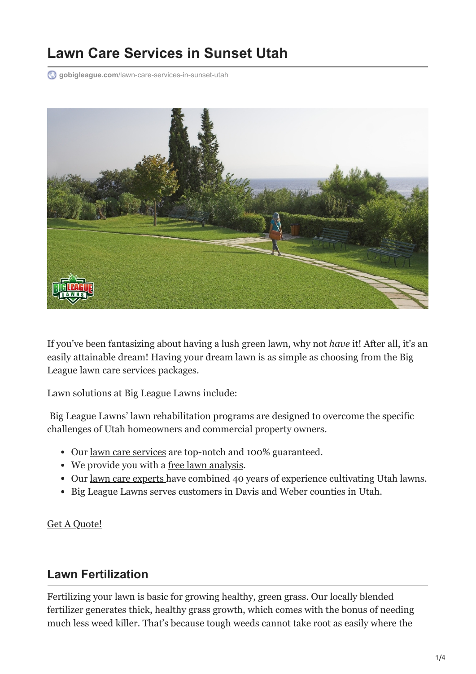# **Lawn Care Services in Sunset Utah**

**gobigleague.com**[/lawn-care-services-in-sunset-utah](https://gobigleague.com/lawn-care-services-in-sunset-utah/)



If you've been fantasizing about having a lush green lawn, why not *have* it! After all, it's an easily attainable dream! Having your dream lawn is as simple as choosing from the Big League lawn care services packages.

Lawn solutions at Big League Lawns include:

 Big League Lawns' lawn rehabilitation programs are designed to overcome the specific challenges of Utah homeowners and commercial property owners.

- Our [lawn care services](https://gobigleague.com/lawn-care-packages-in-utah/) are top-notch and 100% guaranteed.
- We provide you with a <u>free lawn analysis</u>.
- Our <u>lawn care experts</u> have combined 40 years of experience cultivating Utah lawns.
- Big League Lawns serves customers in Davis and Weber counties in Utah.

[Get A Quote!](tel:+18019176572)

#### **Lawn Fertilization**

[Fertilizing your lawn](https://gobigleague.com/lawn-fertilization-services-utah/) is basic for growing healthy, green grass. Our locally blended fertilizer generates thick, healthy grass growth, which comes with the bonus of needing much less weed killer. That's because tough weeds cannot take root as easily where the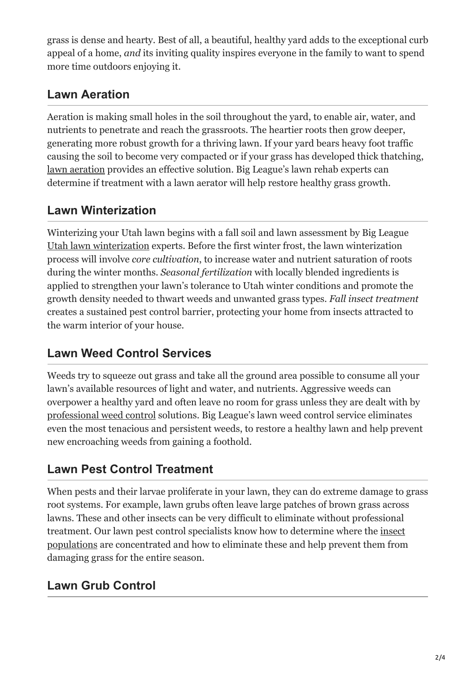grass is dense and hearty. Best of all, a beautiful, healthy yard adds to the exceptional curb appeal of a home, *and* its inviting quality inspires everyone in the family to want to spend more time outdoors enjoying it.

## **Lawn Aeration**

Aeration is making small holes in the soil throughout the yard, to enable air, water, and nutrients to penetrate and reach the grassroots. The heartier roots then grow deeper, generating more robust growth for a thriving lawn. If your yard bears heavy foot traffic causing the soil to become very compacted or if your grass has developed thick thatching, [lawn aeration](https://gobigleague.com/lawn-aerator-service-utah/) provides an effective solution. Big League's lawn rehab experts can determine if treatment with a lawn aerator will help restore healthy grass growth.

## **Lawn Winterization**

Winterizing your Utah lawn begins with a fall soil and lawn assessment by Big League [Utah lawn winterization](https://gobigleague.com/lawn-winterization-utah/) experts. Before the first winter frost, the lawn winterization process will involve *core cultivation*, to increase water and nutrient saturation of roots during the winter months. *Seasonal fertilization* with locally blended ingredients is applied to strengthen your lawn's tolerance to Utah winter conditions and promote the growth density needed to thwart weeds and unwanted grass types. *Fall insect treatment* creates a sustained pest control barrier, protecting your home from insects attracted to the warm interior of your house.

### **Lawn Weed Control Services**

Weeds try to squeeze out grass and take all the ground area possible to consume all your lawn's available resources of light and water, and nutrients. Aggressive weeds can overpower a healthy yard and often leave no room for grass unless they are dealt with by [professional weed control](https://gobigleague.com/lawn-weed-control-company-utah/) solutions. Big League's lawn weed control service eliminates even the most tenacious and persistent weeds, to restore a healthy lawn and help prevent new encroaching weeds from gaining a foothold.

### **Lawn Pest Control Treatment**

When pests and their larvae proliferate in your lawn, they can do extreme damage to grass root systems. For example, lawn grubs often leave large patches of brown grass across lawns. These and other insects can be very difficult to eliminate without professional treatment. Our lawn pest control specialists know how to determine where the insect [populations are concentrated and how to eliminate these and help prevent them from](https://gobigleague.com/lawn-pest-control-utah/) damaging grass for the entire season.

# **Lawn Grub Control**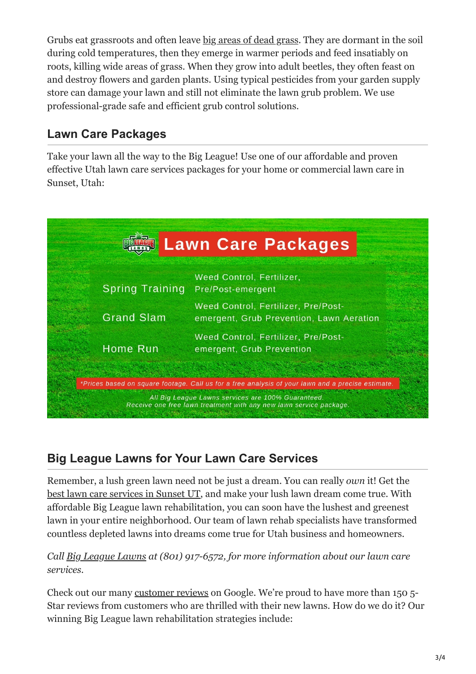Grubs eat grassroots and often leave [big areas of dead grass.](https://gobigleague.com/lawn-grub-prevention-control/) They are dormant in the soil during cold temperatures, then they emerge in warmer periods and feed insatiably on roots, killing wide areas of grass. When they grow into adult beetles, they often feast on and destroy flowers and garden plants. Using typical pesticides from your garden supply store can damage your lawn and still not eliminate the lawn grub problem. We use professional-grade safe and efficient grub control solutions.

#### **Lawn Care Packages**

Take your lawn all the way to the Big League! Use one of our affordable and proven effective Utah lawn care services packages for your home or commercial lawn care in Sunset, Utah:



# **Big League Lawns for Your Lawn Care Services**

Remember, a lush green lawn need not be just a dream. You can really *own* it! Get the [best lawn care services in Sunset UT,](https://gobigleague.com/about-us/) and make your lush lawn dream come true. With affordable Big League lawn rehabilitation, you can soon have the lushest and greenest lawn in your entire neighborhood. Our team of lawn rehab specialists have transformed countless depleted lawns into dreams come true for Utah business and homeowners.

#### *Call [Big League Lawns](https://gobigleague.com/why-choose-big-league-lawns/) at (801) 917-6572, for more information about our lawn care services.*

Check out our many [customer reviews](https://gobigleague.com/view-reviews/) on Google. We're proud to have more than 150 5- Star reviews from customers who are thrilled with their new lawns. How do we do it? Our winning Big League lawn rehabilitation strategies include: